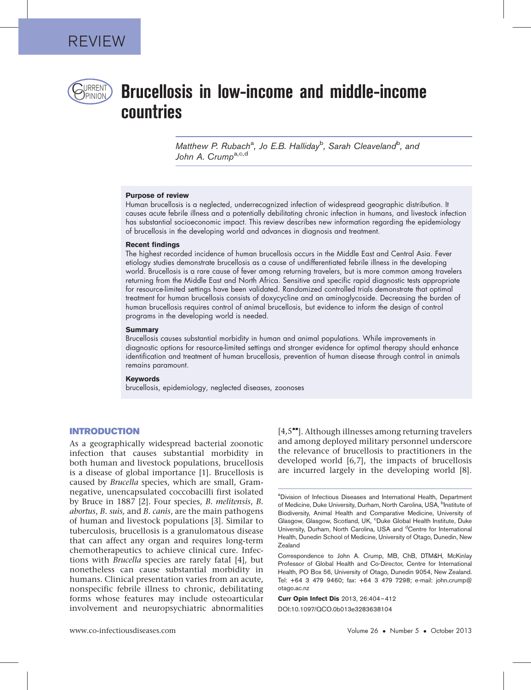

# $P$ REENT) Brucellosis in low-income and middle-income countries

Matthew P. Rubach<sup>a</sup>, Jo E.B. Halliday<sup>b</sup>, Sarah Cleaveland<sup>b</sup>, and John A. Crump<sup>a,c,d</sup>

#### Purpose of review

Human brucellosis is a neglected, underrecognized infection of widespread geographic distribution. It causes acute febrile illness and a potentially debilitating chronic infection in humans, and livestock infection has substantial socioeconomic impact. This review describes new information regarding the epidemiology of brucellosis in the developing world and advances in diagnosis and treatment.

#### Recent findings

The highest recorded incidence of human brucellosis occurs in the Middle East and Central Asia. Fever etiology studies demonstrate brucellosis as a cause of undifferentiated febrile illness in the developing world. Brucellosis is a rare cause of fever among returning travelers, but is more common among travelers returning from the Middle East and North Africa. Sensitive and specific rapid diagnostic tests appropriate for resource-limited settings have been validated. Randomized controlled trials demonstrate that optimal treatment for human brucellosis consists of doxycycline and an aminoglycoside. Decreasing the burden of human brucellosis requires control of animal brucellosis, but evidence to inform the design of control programs in the developing world is needed.

#### **Summary**

Brucellosis causes substantial morbidity in human and animal populations. While improvements in diagnostic options for resource-limited settings and stronger evidence for optimal therapy should enhance identification and treatment of human brucellosis, prevention of human disease through control in animals remains paramount.

#### Keywords

brucellosis, epidemiology, neglected diseases, zoonoses

## INTRODUCTION

As a geographically widespread bacterial zoonotic infection that causes substantial morbidity in both human and livestock populations, brucellosis is a disease of global importance [\[1\].](#page-6-0) Brucellosis is caused by Brucella species, which are small, Gramnegative, unencapsulated coccobacilli first isolated by Bruce in 1887 [\[2\]](#page-6-0). Four species, B. melitensis, B. abortus, B. suis, and B. canis, are the main pathogens of human and livestock populations [\[3\].](#page-6-0) Similar to tuberculosis, brucellosis is a granulomatous disease that can affect any organ and requires long-term chemotherapeutics to achieve clinical cure. Infections with Brucella species are rarely fatal [\[4\],](#page-6-0) but nonetheless can cause substantial morbidity in humans. Clinical presentation varies from an acute, nonspecific febrile illness to chronic, debilitating forms whose features may include osteoarticular involvement and neuropsychiatric abnormalities

 $[4,5$ <sup> $\bullet$ </sup>[\]](#page-6-0). Although illnesses among returning travelers and among deployed military personnel underscore the relevance of brucellosis to practitioners in the developed world [\[6,7\]](#page-6-0), the impacts of brucellosis are incurred largely in the developing world [\[8\].](#page-6-0)

Curr Opin Infect Dis 2013, 26:404–412

DOI:10.1097/QCO.0b013e3283638104

<sup>&</sup>lt;sup>a</sup>Division of Infectious Diseases and International Health, Department of Medicine, Duke University, Durham, North Carolina, USA, <sup>b</sup>Institute of Biodiversity, Animal Health and Comparative Medicine, University of Glasgow, Glasgow, Scotland, UK, °Duke Global Health Institute, Duke University, Durham, North Carolina, USA and <sup>d</sup>Centre for International Health, Dunedin School of Medicine, University of Otago, Dunedin, New Zealand

Correspondence to John A. Crump, MB, ChB, DTM&H, McKinlay Professor of Global Health and Co-Director, Centre for International Health, PO Box 56, University of Otago, Dunedin 9054, New Zealand. Tel: +64 3 479 9460; fax: +64 3 479 7298; e-mail: [john.crump@](mailto:john.crump@otago.ac.nz) [otago.ac.nz](mailto:john.crump@otago.ac.nz)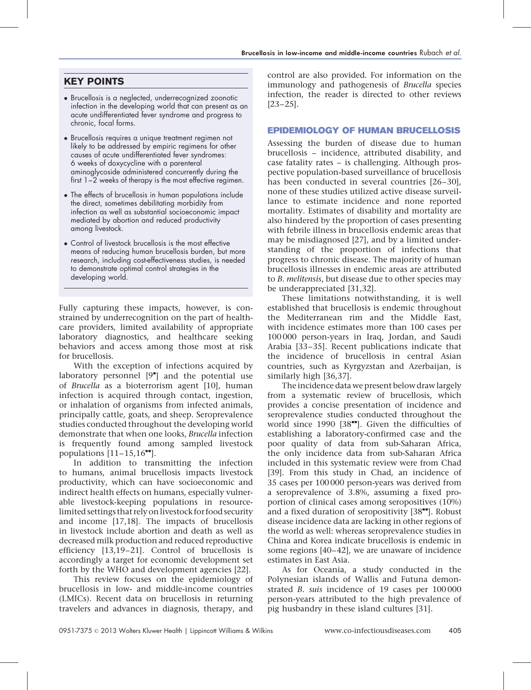## KEY POINTS

- Brucellosis is a neglected, underrecognized zoonotic infection in the developing world that can present as an acute undifferentiated fever syndrome and progress to chronic, focal forms.
- Brucellosis requires a unique treatment regimen not likely to be addressed by empiric regimens for other causes of acute undifferentiated fever syndromes: 6 weeks of doxycycline with a parenteral aminoglycoside administered concurrently during the first 1–2 weeks of therapy is the most effective regimen.
- The effects of brucellosis in human populations include the direct, sometimes debilitating morbidity from infection as well as substantial socioeconomic impact mediated by abortion and reduced productivity among livestock.
- Control of livestock brucellosis is the most effective means of reducing human brucellosis burden, but more research, including cost-effectiveness studies, is needed to demonstrate optimal control strategies in the developing world.

Fully capturing these impacts, however, is constrained by underrecognition on the part of healthcare providers, limited availability of appropriate laboratory diagnostics, and healthcare seeking behaviors and access among those most at risk for brucellosis.

With the exception of infections acquired by laboratory personnel [\[9](#page-6-0)"[\]](#page-6-0) and the potential use of Brucella as a bioterrorism agent [\[10\]](#page-6-0), human infection is acquired through contact, ingestion, or inhalation of organisms from infected animals, principally cattle, goats, and sheep. Seroprevalence studies conducted throughout the developing world demonstrate that when one looks, Brucella infection is frequently found among sampled livestock populations  $[11–15,16$ <sup> $\text{...}$ </sup>[\].](#page-6-0)

In addition to transmitting the infection to humans, animal brucellosis impacts livestock productivity, which can have socioeconomic and indirect health effects on humans, especially vulnerable livestock-keeping populations in resourcelimited settings that rely on livestock for food security and income [\[17,18\].](#page-6-0) The impacts of brucellosis in livestock include abortion and death as well as decreased milk production and reduced reproductive efficiency [\[13,19–21\]](#page-6-0). Control of brucellosis is accordingly a target for economic development set forth by the WHO and development agencies [\[22\].](#page-6-0)

This review focuses on the epidemiology of brucellosis in low- and middle-income countries (LMICs). Recent data on brucellosis in returning travelers and advances in diagnosis, therapy, and

control are also provided. For information on the immunology and pathogenesis of Brucella species infection, the reader is directed to other reviews [\[23–25\].](#page-6-0)

## EPIDEMIOLOGY OF HUMAN BRUCELLOSIS

Assessing the burden of disease due to human brucellosis – incidence, attributed disability, and case fatality rates – is challenging. Although prospective population-based surveillance of brucellosis has been conducted in several countries [\[26–30\]](#page-6-0), none of these studies utilized active disease surveillance to estimate incidence and none reported mortality. Estimates of disability and mortality are also hindered by the proportion of cases presenting with febrile illness in brucellosis endemic areas that may be misdiagnosed [\[27\]](#page-6-0), and by a limited understanding of the proportion of infections that progress to chronic disease. The majority of human brucellosis illnesses in endemic areas are attributed to B. melitensis, but disease due to other species may be underappreciated [\[31,32\]](#page-6-0).

These limitations notwithstanding, it is well established that brucellosis is endemic throughout the Mediterranean rim and the Middle East, with incidence estimates more than 100 cases per 100 000 person-years in Iraq, Jordan, and Saudi Arabia [\[33–35\].](#page-6-0) Recent publications indicate that the incidence of brucellosis in central Asian countries, such as Kyrgyzstan and Azerbaijan, is similarly high [\[36,37\]](#page-6-0).

The incidence data we present below draw largely from a systematic review of brucellosis, which provides a concise presentation of incidence and seroprevalence studies conducted throughout the world since  $1990$  [\[38](#page-6-0) $^{\bullet}$ [\].](#page-6-0) Given the difficulties of establishing a laboratory-confirmed case and the poor quality of data from sub-Saharan Africa, the only incidence data from sub-Saharan Africa included in this systematic review were from Chad [\[39\].](#page-6-0) From this study in Chad, an incidence of 35 cases per 100 000 person-years was derived from a seroprevalence of 3.8%, assuming a fixed proportion of clinical cases among seropositives (10%) and a fixed duration of seropositivity  $[38$ <sup> $\text{...}$ </sup>. Robust disease incidence data are lacking in other regions of the world as well: whereas seroprevalence studies in China and Korea indicate brucellosis is endemic in some regions [\[40–42\],](#page-6-0) we are unaware of incidence estimates in East Asia.

As for Oceania, a study conducted in the Polynesian islands of Wallis and Futuna demonstrated B. suis incidence of 19 cases per 100 000 person-years attributed to the high prevalence of pig husbandry in these island cultures [\[31\].](#page-6-0)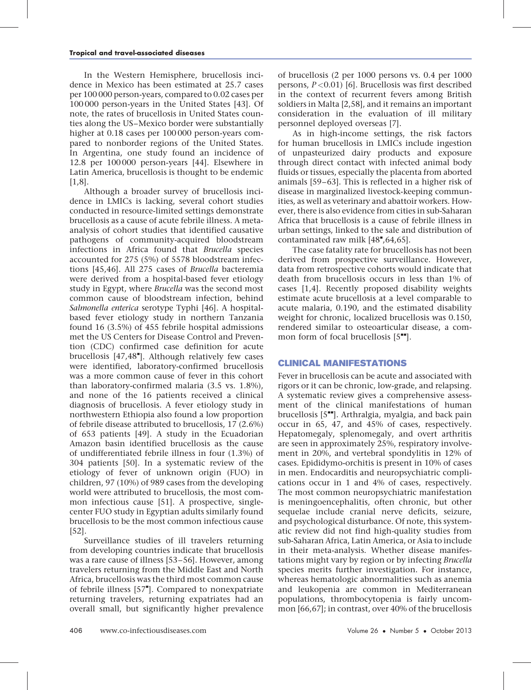In the Western Hemisphere, brucellosis incidence in Mexico has been estimated at 25.7 cases per 100 000 person-years, compared to 0.02 cases per 100 000 person-years in the United States [\[43\]](#page-6-0). Of note, the rates of brucellosis in United States counties along the US–Mexico border were substantially higher at 0.18 cases per 100 000 person-years compared to nonborder regions of the United States. In Argentina, one study found an incidence of 12.8 per 100 000 person-years [\[44\]](#page-6-0). Elsewhere in Latin America, brucellosis is thought to be endemic [\[1,8\].](#page-6-0)

Although a broader survey of brucellosis incidence in LMICs is lacking, several cohort studies conducted in resource-limited settings demonstrate brucellosis as a cause of acute febrile illness. A metaanalysis of cohort studies that identified causative pathogens of community-acquired bloodstream infections in Africa found that Brucella species accounted for 275 (5%) of 5578 bloodstream infections [\[45,46\]](#page-6-0). All 275 cases of Brucella bacteremia were derived from a hospital-based fever etiology study in Egypt, where Brucella was the second most common cause of bloodstream infection, behind Salmonella enterica serotype Typhi [\[46\].](#page-6-0) A hospitalbased fever etiology study in northern Tanzania found 16 (3.5%) of 455 febrile hospital admissions met the US Centers for Disease Control and Prevention (CDC) confirmed case definition for acute brucellosis [\[47,48](#page-6-0)"[\].](#page-6-0) Although relatively few cases were identified, laboratory-confirmed brucellosis was a more common cause of fever in this cohort than laboratory-confirmed malaria (3.5 vs. 1.8%), and none of the 16 patients received a clinical diagnosis of brucellosis. A fever etiology study in northwestern Ethiopia also found a low proportion of febrile disease attributed to brucellosis, 17 (2.6%) of 653 patients [\[49\]](#page-6-0). A study in the Ecuadorian Amazon basin identified brucellosis as the cause of undifferentiated febrile illness in four (1.3%) of 304 patients [\[50\].](#page-6-0) In a systematic review of the etiology of fever of unknown origin (FUO) in children, 97 (10%) of 989 cases from the developing world were attributed to brucellosis, the most common infectious cause [\[51\].](#page-7-0) A prospective, singlecenter FUO study in Egyptian adults similarly found brucellosis to be the most common infectious cause [\[52\].](#page-7-0)

Surveillance studies of ill travelers returning from developing countries indicate that brucellosis was a rare cause of illness [\[53–56\]](#page-7-0). However, among travelers returning from the Middle East and North Africa, brucellosis was the third most common cause of febrile illness [\[57](#page-7-0)"[\].](#page-7-0) Compared to nonexpatriate returning travelers, returning expatriates had an overall small, but significantly higher prevalence of brucellosis (2 per 1000 persons vs. 0.4 per 1000 persons,  $P \le 0.01$  [\[6\]](#page-6-0). Brucellosis was first described in the context of recurrent fevers among British soldiers in Malta [\[2,58\]](#page-6-0), and it remains an important consideration in the evaluation of ill military personnel deployed overseas [\[7\]](#page-6-0).

As in high-income settings, the risk factors for human brucellosis in LMICs include ingestion of unpasteurized dairy products and exposure through direct contact with infected animal body fluids or tissues, especially the placenta from aborted animals [\[59–63\].](#page-7-0) This is reflected in a higher risk of disease in marginalized livestock-keeping communities, as well as veterinary and abattoir workers. However, there is also evidence from cities in sub-Saharan Africa that brucellosis is a cause of febrile illness in urban settings, linked to the sale and distribution of contaminated raw milk  $[48", 64, 65]$  $[48", 64, 65]$ .

The case fatality rate for brucellosis has not been derived from prospective surveillance. However, data from retrospective cohorts would indicate that death from brucellosis occurs in less than 1% of cases [\[1,4\]](#page-6-0). Recently proposed disability weights estimate acute brucellosis at a level comparable to acute malaria, 0.190, and the estimated disability weight for chronic, localized brucellosis was 0.150, rendered similar to osteoarticular disease, a common form of focal brucellosis  $[5"']$  $[5"']$ .

## CLINICAL MANIFESTATIONS

Fever in brucellosis can be acute and associated with rigors or it can be chronic, low-grade, and relapsing. A systematic review gives a comprehensive assessment of the clinical manifestations of human brucellosis  $[5^{\bullet\bullet}]$  $[5^{\bullet\bullet}]$ . Arthralgia, myalgia, and back pain occur in 65, 47, and 45% of cases, respectively. Hepatomegaly, splenomegaly, and overt arthritis are seen in approximately 25%, respiratory involvement in 20%, and vertebral spondylitis in 12% of cases. Epididymo-orchitis is present in 10% of cases in men. Endocarditis and neuropsychiatric complications occur in 1 and 4% of cases, respectively. The most common neuropsychiatric manifestation is meningoencephalitis, often chronic, but other sequelae include cranial nerve deficits, seizure, and psychological disturbance. Of note, this systematic review did not find high-quality studies from sub-Saharan Africa, Latin America, or Asia to include in their meta-analysis. Whether disease manifestations might vary by region or by infecting Brucella species merits further investigation. For instance, whereas hematologic abnormalities such as anemia and leukopenia are common in Mediterranean populations, thrombocytopenia is fairly uncommon [\[66,67\]](#page-7-0); in contrast, over 40% of the brucellosis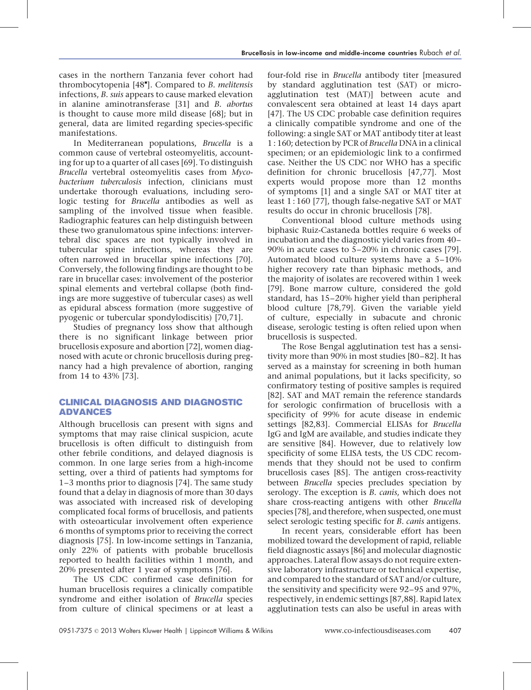cases in the northern Tanzania fever cohort had thrombocytopenia [\[48](#page-6-0)"[\]](#page-6-0). Compared to B. melitensis infections, B. suis appears to cause marked elevation in alanine aminotransferase [\[31\]](#page-6-0) and B. abortus is thought to cause more mild disease [\[68\]](#page-7-0); but in general, data are limited regarding species-specific manifestations.

In Mediterranean populations, Brucella is a common cause of vertebral osteomyelitis, accounting for up to a quarter of all cases [\[69\]](#page-7-0). To distinguish Brucella vertebral osteomyelitis cases from Mycobacterium tuberculosis infection, clinicians must undertake thorough evaluations, including serologic testing for Brucella antibodies as well as sampling of the involved tissue when feasible. Radiographic features can help distinguish between these two granulomatous spine infections: intervertebral disc spaces are not typically involved in tubercular spine infections, whereas they are often narrowed in brucellar spine infections [\[70\]](#page-7-0). Conversely, the following findings are thought to be rare in brucellar cases: involvement of the posterior spinal elements and vertebral collapse (both findings are more suggestive of tubercular cases) as well as epidural abscess formation (more suggestive of pyogenic or tubercular spondylodiscitis) [\[70,71\]](#page-7-0).

Studies of pregnancy loss show that although there is no significant linkage between prior brucellosis exposure and abortion [\[72\]](#page-7-0), women diagnosed with acute or chronic brucellosis during pregnancy had a high prevalence of abortion, ranging from 14 to 43% [\[73\]](#page-7-0).

## CLINICAL DIAGNOSIS AND DIAGNOSTIC ADVANCES

Although brucellosis can present with signs and symptoms that may raise clinical suspicion, acute brucellosis is often difficult to distinguish from other febrile conditions, and delayed diagnosis is common. In one large series from a high-income setting, over a third of patients had symptoms for 1–3 months prior to diagnosis [\[74\]](#page-7-0). The same study found that a delay in diagnosis of more than 30 days was associated with increased risk of developing complicated focal forms of brucellosis, and patients with osteoarticular involvement often experience 6 months of symptoms prior to receiving the correct diagnosis [\[75\]](#page-7-0). In low-income settings in Tanzania, only 22% of patients with probable brucellosis reported to health facilities within 1 month, and 20% presented after 1 year of symptoms [\[76\].](#page-7-0)

The US CDC confirmed case definition for human brucellosis requires a clinically compatible syndrome and either isolation of Brucella species from culture of clinical specimens or at least a

four-fold rise in Brucella antibody titer [measured by standard agglutination test (SAT) or microagglutination test (MAT)] between acute and convalescent sera obtained at least 14 days apart [\[47\].](#page-6-0) The US CDC probable case definition requires a clinically compatible syndrome and one of the following: a single SAT or MAT antibody titer at least 1 : 160; detection by PCR of Brucella DNA in a clinical specimen; or an epidemiologic link to a confirmed case. Neither the US CDC nor WHO has a specific definition for chronic brucellosis [\[47,77\].](#page-6-0) Most experts would propose more than 12 months of symptoms [\[1\]](#page-6-0) and a single SAT or MAT titer at least 1 : 160 [\[77\],](#page-7-0) though false-negative SAT or MAT results do occur in chronic brucellosis [\[78\].](#page-7-0)

Conventional blood culture methods using biphasic Ruiz-Castaneda bottles require 6 weeks of incubation and the diagnostic yield varies from 40– 90% in acute cases to 5–20% in chronic cases [\[79\]](#page-7-0). Automated blood culture systems have a 5–10% higher recovery rate than biphasic methods, and the majority of isolates are recovered within 1 week [\[79\].](#page-7-0) Bone marrow culture, considered the gold standard, has 15–20% higher yield than peripheral blood culture [\[78,79\].](#page-7-0) Given the variable yield of culture, especially in subacute and chronic disease, serologic testing is often relied upon when brucellosis is suspected.

The Rose Bengal agglutination test has a sensitivity more than 90% in most studies [\[80–82\].](#page-7-0) It has served as a mainstay for screening in both human and animal populations, but it lacks specificity, so confirmatory testing of positive samples is required [\[82\].](#page-7-0) SAT and MAT remain the reference standards for serologic confirmation of brucellosis with a specificity of 99% for acute disease in endemic settings [\[82,83\]](#page-7-0). Commercial ELISAs for Brucella IgG and IgM are available, and studies indicate they are sensitive [\[84\].](#page-7-0) However, due to relatively low specificity of some ELISA tests, the US CDC recommends that they should not be used to confirm brucellosis cases [\[85\]](#page-7-0). The antigen cross-reactivity between Brucella species precludes speciation by serology. The exception is B. canis, which does not share cross-reacting antigens with other Brucella species [\[78\]](#page-7-0), and therefore, when suspected, one must select serologic testing specific for B. canis antigens.

In recent years, considerable effort has been mobilized toward the development of rapid, reliable field diagnostic assays [\[86\]](#page-7-0) and molecular diagnostic approaches. Lateral flow assays do not require extensive laboratory infrastructure or technical expertise, and compared to the standard of SAT and/or culture, the sensitivity and specificity were 92–95 and 97%, respectively, in endemic settings [\[87,88\].](#page-7-0) Rapid latex agglutination tests can also be useful in areas with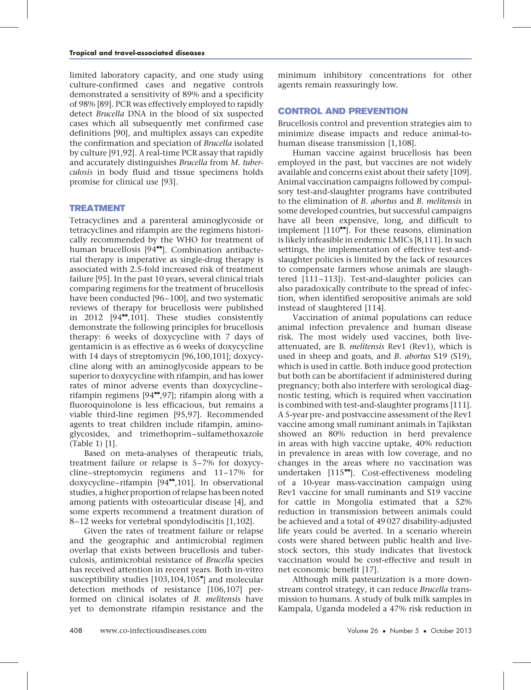limited laboratory capacity, and one study using culture-confirmed cases and negative controls demonstrated a sensitivity of 89% and a specificity of 98% [\[89\].](#page-7-0) PCR was effectively employed to rapidly detect Brucella DNA in the blood of six suspected cases which all subsequently met confirmed case definitions [\[90\],](#page-7-0) and multiplex assays can expedite the confirmation and speciation of Brucella isolated by culture [\[91,92\]](#page-7-0). A real-time PCR assay that rapidly and accurately distinguishes Brucella from M. tuberculosis in body fluid and tissue specimens holds promise for clinical use [\[93\].](#page-7-0)

## TREATMENT

Tetracyclines and a parenteral aminoglycoside or tetracyclines and rifampin are the regimens historically recommended by the WHO for treatment of human brucellosis [\[94](#page-7-0)<sup>\*\*</sup>[\]](#page-7-0). Combination antibacterial therapy is imperative as single-drug therapy is associated with 2.5-fold increased risk of treatment failure [\[95\].](#page-7-0) In the past 10 years, several clinical trials comparing regimens for the treatment of brucellosis have been conducted [\[96–100\],](#page-7-0) and two systematic reviews of therapy for brucellosis were published in  $2012$  [\[94](#page-7-0) $-$ [,101\].](#page-7-0) These studies consistently demonstrate the following principles for brucellosis therapy: 6 weeks of doxycycline with 7 days of gentamicin is as effective as 6 weeks of doxycycline with 14 days of streptomycin [\[96,100,101\]](#page-7-0); doxycycline along with an aminoglycoside appears to be superior to doxycycline with rifampin, and has lower rates of minor adverse events than doxycycline– rifampin regimens  $[94"$  $[94"$ [,97\];](#page-7-0) rifampin along with a fluoroquinolone is less efficacious, but remains a viable third-line regimen [\[95,97\]](#page-7-0). Recommended agents to treat children include rifampin, aminoglycosides, and trimethoprim–sulfamethoxazole (Table 1) [\[1\]](#page-6-0).

Based on meta-analyses of therapeutic trials, treatment failure or relapse is 5–7% for doxycycline–streptomycin regimens and 11–17% for doxycycline–rifampin [\[94](#page-7-0)"[,101\].](#page-7-0) In observational studies, a higher proportion of relapse has been noted among patients with osteoarticular disease [\[4\],](#page-6-0) and some experts recommend a treatment duration of 8–12 weeks for vertebral spondylodiscitis [\[1,102\]](#page-6-0).

Given the rates of treatment failure or relapse and the geographic and antimicrobial regimen overlap that exists between brucellosis and tuberculosis, antimicrobial resistance of Brucella species has received attention in recent years. Both in-vitro susceptibility studies [\[103,104,105](#page-7-0)"[\]](#page-7-0) and molecular detection methods of resistance [\[106,107\]](#page-7-0) performed on clinical isolates of B. melitensis have yet to demonstrate rifampin resistance and the minimum inhibitory concentrations for other agents remain reassuringly low.

## CONTROL AND PREVENTION

Brucellosis control and prevention strategies aim to minimize disease impacts and reduce animal-tohuman disease transmission [\[1,108\].](#page-6-0)

Human vaccine against brucellosis has been employed in the past, but vaccines are not widely available and concerns exist about their safety [\[109\].](#page-8-0) Animal vaccination campaigns followed by compulsory test-and-slaughter programs have contributed to the elimination of B. abortus and B. melitensis in some developed countries, but successful campaigns have all been expensive, long, and difficult to implement  $[110$ <sup> $H$ </sup>[\].](#page-8-0) For these reasons, elimination is likely infeasible in endemic LMICs [\[8,111\]](#page-6-0). In such settings, the implementation of effective test-andslaughter policies is limited by the lack of resources to compensate farmers whose animals are slaughtered [\[111–113\]\)](#page-8-0). Test-and-slaughter policies can also paradoxically contribute to the spread of infection, when identified seropositive animals are sold instead of slaughtered [\[114\]](#page-8-0).

Vaccination of animal populations can reduce animal infection prevalence and human disease risk. The most widely used vaccines, both liveattenuated, are B. melitensis Rev1 (Rev1), which is used in sheep and goats, and B. abortus S19 (S19), which is used in cattle. Both induce good protection but both can be abortifacient if administered during pregnancy; both also interfere with serological diagnostic testing, which is required when vaccination is combined with test-and-slaughter programs [\[111\].](#page-8-0) A 5-year pre- and postvaccine assessment of the Rev1 vaccine among small ruminant animals in Tajikstan showed an 80% reduction in herd prevalence in areas with high vaccine uptake, 40% reduction in prevalence in areas with low coverage, and no changes in the areas where no vaccination was undertaken  $[115$ <sup>---</sup>[\]](#page-8-0). Cost-effectiveness modeling of a 10-year mass-vaccination campaign using Rev1 vaccine for small ruminants and S19 vaccine for cattle in Mongolia estimated that a 52% reduction in transmission between animals could be achieved and a total of 49 027 disability-adjusted life years could be averted. In a scenario wherein costs were shared between public health and livestock sectors, this study indicates that livestock vaccination would be cost-effective and result in net economic benefit [\[17\].](#page-6-0)

Although milk pasteurization is a more downstream control strategy, it can reduce Brucella transmission to humans. A study of bulk milk samples in Kampala, Uganda modeled a 47% risk reduction in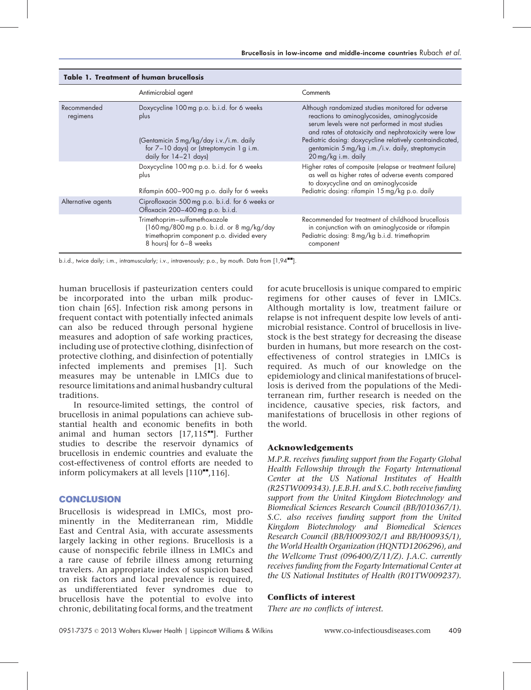|                         | Antimicrobial agent                                                                                                                                                  | Comments                                                                                                                                                                                                                                                                                                                                             |
|-------------------------|----------------------------------------------------------------------------------------------------------------------------------------------------------------------|------------------------------------------------------------------------------------------------------------------------------------------------------------------------------------------------------------------------------------------------------------------------------------------------------------------------------------------------------|
| Recommended<br>regimens | Doxycycline 100 mg p.o. b.i.d. for 6 weeks<br>plus<br>(Gentamicin 5 mg/kg/day i.v./i.m. daily<br>for $7-10$ days) or (streptomycin 1 g i.m.<br>daily for 14-21 days) | Although randomized studies monitored for adverse<br>reactions to aminoglycosides, aminoglycoside<br>serum levels were not performed in most studies<br>and rates of ototoxicity and nephrotoxicity were low<br>Pediatric dosing: doxycycline relatively contraindicated,<br>gentamicin 5 mg/kg i.m./i.v. daily, streptomycin<br>20 mg/kg i.m. daily |
|                         | Doxycycline 100 mg p.o. b.i.d. for 6 weeks<br>plus<br>Rifampin 600-900 mg p.o. daily for 6 weeks                                                                     | Higher rates of composite (relapse or treatment failure)<br>as well as higher rates of adverse events compared<br>to doxycycline and an aminoglycoside<br>Pediatric dosing: rifampin 15 mg/kg p.o. daily                                                                                                                                             |
| Alternative agents      | Ciprofloxacin 500 mg p.o. b.i.d. for 6 weeks or<br>Ofloxacin 200-400 mg p.o. b.i.d.                                                                                  |                                                                                                                                                                                                                                                                                                                                                      |
|                         | Trimethoprim-sulfamethoxazole<br>(160 mg/800 mg p.o. b.i.d. or 8 mg/kg/day<br>trimethoprim component p.o. divided every<br>8 hours) for 6-8 weeks                    | Recommended for treatment of childhood brucellosis<br>in conjunction with an aminoglycoside or rifampin<br>Pediatric dosing: 8 mg/kg b.i.d. trimethoprim<br>component                                                                                                                                                                                |

#### Table 1. Treatment of human brucellosis

b.i.d., twice daily; i.m., intramuscularly; i.v., intravenously; p.o., by mouth. Data from [\[1,94](#page-6-0)<sup>\*\*</sup>[\].](#page-6-0)

human brucellosis if pasteurization centers could be incorporated into the urban milk production chain [\[65\].](#page-7-0) Infection risk among persons in frequent contact with potentially infected animals can also be reduced through personal hygiene measures and adoption of safe working practices, including use of protective clothing, disinfection of protective clothing, and disinfection of potentially infected implements and premises [\[1\].](#page-6-0) Such measures may be untenable in LMICs due to resource limitations and animal husbandry cultural traditions.

In resource-limited settings, the control of brucellosis in animal populations can achieve substantial health and economic benefits in both animal and human sectors  $[17,115$ <sup> $H$ </sup>[\].](#page-6-0) Further studies to describe the reservoir dynamics of brucellosis in endemic countries and evaluate the cost-effectiveness of control efforts are needed to inform policymakers at all levels  $[110^{\bullet\bullet},116]$  $[110^{\bullet\bullet},116]$ .

## CONCLUSION

Brucellosis is widespread in LMICs, most prominently in the Mediterranean rim, Middle East and Central Asia, with accurate assessments largely lacking in other regions. Brucellosis is a cause of nonspecific febrile illness in LMICs and a rare cause of febrile illness among returning travelers. An appropriate index of suspicion based on risk factors and local prevalence is required, as undifferentiated fever syndromes due to brucellosis have the potential to evolve into chronic, debilitating focal forms, and the treatment for acute brucellosis is unique compared to empiric regimens for other causes of fever in LMICs. Although mortality is low, treatment failure or relapse is not infrequent despite low levels of antimicrobial resistance. Control of brucellosis in livestock is the best strategy for decreasing the disease burden in humans, but more research on the costeffectiveness of control strategies in LMICs is required. As much of our knowledge on the epidemiology and clinical manifestations of brucellosis is derived from the populations of the Mediterranean rim, further research is needed on the incidence, causative species, risk factors, and manifestations of brucellosis in other regions of the world.

## Acknowledgements

M.P.R. receives funding support from the Fogarty Global Health Fellowship through the Fogarty International Center at the US National Institutes of Health (R25TW009343). J.E.B.H. and S.C. both receive funding support from the United Kingdom Biotechnology and Biomedical Sciences Research Council (BB/J010367/1). S.C. also receives funding support from the United Kingdom Biotechnology and Biomedical Sciences Research Council (BB/H009302/1 and BB/H00935/1), the World Health Organization (HQNTD1206296), and the Wellcome Trust (096400/Z/11/Z). J.A.C. currently receives funding from the Fogarty International Center at the US National Institutes of Health (R01TW009237).

## Conflicts of interest

There are no conflicts of interest.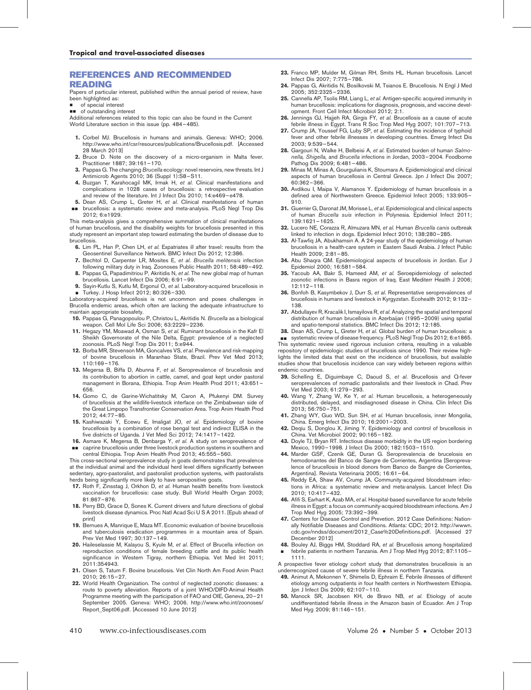## <span id="page-6-0"></span>REFERENCES AND RECOMMENDED READING

Papers of particular interest, published within the annual period of review, have been highlighted as:

- of special interest
- $\Box$  of outstanding interest

Additional references related to this topic can also be found in the Current World Literature section in this issue (pp. 484–485).

- 1. Corbel MJ. Brucellosis in humans and animals. Geneva: WHO; 2006. http://www.who.int/csr/resources/publications/Brucellosis.pdf. [Accessed 28 March 2013]
- 2. Bruce D. Note on the discovery of a micro-organism in Malta fever. Practitioner 1887; 39:161–170.
- 3. Pappas G. The changing Brucella ecology: novel reservoirs, new threats. Int J Antimicrob Agents 2010; 36 (Suppl 1):S8–S11.
- 4. Buzgan T, Karahocagil MK, Irmak H, et al. Clinical manifestations and complications in 1028 cases of brucellosis: a retrospective evaluation and review of the literature. Int J Infect Dis 2010; 14:e469–e478.
- 5. Dean AS, Crump L, Greter H, et al. Clinical manifestations of human && brucellosis: a systematic review and meta-analysis. PLoS Negl Trop Dis 2012; 6:e1929.

This meta-analysis gives a comprehensive summation of clinical manifestations of human brucellosis, and the disability weights for brucellosis presented in this study represent an important step toward estimating the burden of disease due to brucellosis.

- 6. Lim PL, Han P, Chen LH, et al. Expatriates ill after travel: results from the Geosentinel Surveillance Network. BMC Infect Dis 2012; 12:386.
- 7. Bechtol D, Carpenter LR, Mosites E, et al. Brucella melitensis infection following military duty in Iraq. Zoonoses Public Health 2011; 58:489–492.
- 8. Pappas G, Papadimitriou P, Akritidis N, et al. The new global map of human brucellosis. Lancet Infect Dis 2006; 6:91–99.
- 9. Sayin-Kutlu S, Kutlu M, Ergonul O, et al. Laboratory-acquired brucellosis in ■ Turkey. J Hosp Infect 2012; 80:326-330.

Laboratory-acquired brucellosis is not uncommon and poses challenges in Brucella endemic areas, which often are lacking the adequate infrastructure to maintain appropriate biosafety.

- 10. Pappas G, Panagopoulou P, Christou L, Akritidis N. Brucella as a biological weapon. Cell Mol Life Sci 2006; 63:2229–2236.
- 11. Hegazy YM, Moawad A, Osman S, et al. Ruminant brucellosis in the Kafr El Sheikh Governorate of the Nile Delta, Egypt: prevalence of a neglected zoonosis. PLoS Negl Trop Dis 2011; 5:e944.
- 12. Borba MR, Stevenson MA, Goncalves VS, et al. Prevalence and risk-mapping of bovine brucellosis in Maranhao State, Brazil. Prev Vet Med 2013; 110:169–176.
- 13. Megersa B, Biffa D, Abunna F, et al. Seroprevalence of brucellosis and its contribution to abortion in cattle, camel, and goat kept under pastoral management in Borana, Ethiopia. Trop Anim Health Prod 2011; 43:651– 656.
- 14. Gomo C, de Garine-Wichatitsky M, Caron A, Pfukenyi DM. Survey of brucellosis at the wildlife-livestock interface on the Zimbabwean side of the Great Limpopo Transfrontier Conservation Area. Trop Anim Health Prod 2012; 44:77–85.
- 15. Kashiwazaki Y, Ecewu E, Imaligat JO, et al. Epidemiology of bovine brucellosis by a combination of rose bengal test and indirect ELISA in the five districts of Uganda. J Vet Med Sci 2012; 74:1417–1422.
- 16. Asmare K, Megersa B, Denbarga Y, et al. A study on seroprevalence of && caprine brucellosis under three livestock production systems in southern and

central Ethiopia. Trop Anim Health Prod 2013; 45:555–560. This cross-sectional seroprevalence study in goats demonstrates that prevalence at the individual animal and the individual herd level differs significantly between sedentary, agro-pastoralist, and pastoralist production systems, with pastoralists herds being significantly more likely to have seropositive goats.

- 17. Roth F, Zinsstag J, Orkhon D, et al. Human health benefits from livestock vaccination for brucellosis: case study. Bull World Health Organ 2003; 81:867–876.
- 18. Perry BD, Grace D, Sones K. Current drivers and future directions of global livestock disease dynamics. Proc Natl Acad Sci U S A 2011. [Epub ahead of print]
- 19. Bernues A, Manrique E, Maza MT. Economic evaluation of bovine brucellosis and tuberculosis eradication programmes in a mountain area of Spain. Prev Vet Med 1997; 30:137–149.
- 20. Haileselassie M, Kalayou S, Kyule M, et al. Effect of Brucella infection on reproduction conditions of female breeding cattle and its public health significance in Western Tigray, northern Ethiopia. Vet Med Int 2011; 2011:354943.
- 21. Olsen S, Tatum F. Bovine brucellosis. Vet Clin North Am Food Anim Pract 2010; 26:15–27.
- 22. World Health Organization. The control of neglected zoonotic diseases: a route to poverty alleviation. Reports of a joint WHO/DIFD-Animal Health Programme meeting with the participation of FAO and OIE, Geneva, 20–21 September 2005. Geneva: WHO; 2006. http://www.who.int/zoonoses/ Report\_Sept06.pdf. [Accessed 10 June 2012]
- 23. Franco MP, Mulder M, Gilman RH, Smits HL. Human brucellosis. Lancet Infect Dis 2007; 7:775–786.
- 24. Pappas G, Akritidis N, Bosilkovski M, Tsianos E. Brucellosis. N Engl J Med 2005; 352:2325–2336.
- 25. Cannella AP, Tsolis RM, Liang L, et al. Antigen-specific acquired immunity in human brucellosis: implications for diagnosis, prognosis, and vaccine development. Front Cell Infect Microbiol 2012; 2:1.
- 26. Jennings GJ, Hajjeh RA, Girgis FY, et al. Brucellosis as a cause of acute febrile illness in Egypt. Trans R Soc Trop Med Hyg 2007; 101:707–713.
- 27. Crump JA, Youssef FG, Luby SP, et al. Estimating the incidence of typhoid fever and other febrile illnesses in developing countries. Emerg Infect Dis 2003; 9:539–544.
- 28. Gargouri N, Walke H, Belbeisi A, et al. Estimated burden of human Salmonella, Shigella, and Brucella infections in Jordan, 2003–2004. Foodborne Pathog Dis 2009; 6:481–486.
- 29. Minas M, Minas A, Gourgulianis K, Stournara A. Epidemiological and clinical aspects of human brucellosis in Central Greece. Jpn J Infect Dis 2007; 60:362–366.
- 30. Avdikou I, Maipa V, Alamanos Y. Epidemiology of human brucellosis in a defined area of Northwestern Greece. Epidemiol Infect 2005; 133:905– 910.
- 31. Guerrier G, Daronat JM, Morisse L, et al. Epidemiological and clinical aspects of human Brucella suis infection in Polynesia. Epidemiol Infect 2011; 139:1621–1625.
- 32. Lucero NE, Corazza R, Almuzara MN, et al. Human Brucella canis outbreak linked to infection in dogs. Epidemiol Infect 2010; 138:280–285.
- 33. Al-Tawfiq JA, Abukhamsin A. A 24-year study of the epidemiology of human brucellosis in a health-care system in Eastern Saudi Arabia. J Infect Public Health 2009; 2:81–85.
- 34. Abu Shaqra QM. Epidemiological aspects of brucellosis in Jordan. Eur J Epidemiol 2000; 16:581–584.
- 35. Yacoub AA, Bakr S, Hameed AM, et al. Seroepidemiology of selected zoonotic infections in Basra region of Iraq. East Mediterr Health J 2006; 12:112–118.
- 36. Bonfoh B, Kasymbekov J, Durr S, et al. Representative seroprevalences of brucellosis in humans and livestock in Kyrgyzstan. Ecohealth 2012; 9:132– 138.
- 37. Abdullayev R, Kracalik I, Ismayilova R, et al. Analyzing the spatial and temporal distribution of human brucellosis in Azerbaijan (1995–2009) using spatial and spatio-temporal statistics. BMC Infect Dis 2012; 12:185.
- 38. Dean AS, Crump L, Greter H, et al. Global burden of human brucellosis: a

**B** systematic review of disease frequency. PLoS Negl Trop Dis 2012; 6:e1865. This systematic review used rigorous inclusion criteria, resulting in a valuable repository of epidemiologic studies of brucellosis since 1990. Their review highlights the limited data that exist on the incidence of brucellosis, but available studies show that brucellosis incidence can vary widely between regions within endemic countries.

- 39. Schelling E, Diguimbaye C, Daoud S, et al. Brucellosis and Q-fever seroprevalences of nomadic pastoralists and their livestock in Chad. Prev Vet Med 2003; 61:279–293.
- 40. Wang Y, Zhang W, Ke Y, et al. Human brucellosis, a heterogeneously distributed, delayed, and misdiagnosed disease in China. Clin Infect Dis 2013; 56:750–751.
- 41. Zhang WY, Guo WD, Sun SH, et al. Human brucellosis, inner Mongolia, China. Emerg Infect Dis 2010; 16:2001–2003.
- 42. Deqiu S, Donglou X, Jiming Y. Epidemiology and control of brucellosis in China. Vet Microbiol 2002; 90:165–182.
- 43. Doyle TJ, Bryan RT. Infectious disease morbidity in the US region bordering Mexico, 1990–1998. J Infect Dis 2000; 182:1503–1510.
- 44. Marder GSF, Czenik GE, Duran G. Seroprevalencia de brucelosis en hemodonantes del Banco de Sangre de Corrientes, Argentina [Seroprevalence of brucellosis in blood donors from Banco de Sangre de Corrientes, Argentina]. Revista Veterinaria 2005; 16:61–64.
- 45. Reddy EA, Shaw AV, Crump JA. Community-acquired bloodstream infections in Africa: a systematic review and meta-analysis. Lancet Infect Dis 2010; 10:417–432.
- 46. Afifi S, Earhart K, Azab MA, et al. Hospital-based surveillance for acute febrile illness in Egypt: a focus on community-acquired bloodstream infections. Am J Trop Med Hyg 2005; 73:392–399.
- 47. Centers for Disease Control and Prevetion. 2012 Case Definitions: Nationally Notifiable Diseases and Conditions. Atlanta: CDC; 2012. http://wwwn. cdc.gov/nndss/document/2012\_Case%20Definitions.pdf. [Accessed 27 December 2012]
- 48. Bouley AJ, Biggs HM, Stoddard RA, et al. Brucellosis among hospitalized & febrile patients in northern Tanzania. Am J Trop Med Hyg 2012; 87:1105– 1111.
- A prospective fever etiology cohort study that demonstrates brucellosis is an underrecognized cause of severe febrile illness in northern Tanzania.
- 49. Animut A, Mekonnen Y, Shimelis D, Ephraim E. Febrile illnesses of different etiology among outpatients in four health centers in Northwestern Ethiopia. Jpn J Infect Dis 2009; 62:107–110.
- 50. Manock SR, Jacobsen KH, de Bravo NB, et al. Etiology of acute undifferentiated febrile illness in the Amazon basin of Ecuador. Am J Trop Med Hyg 2009; 81:146–151.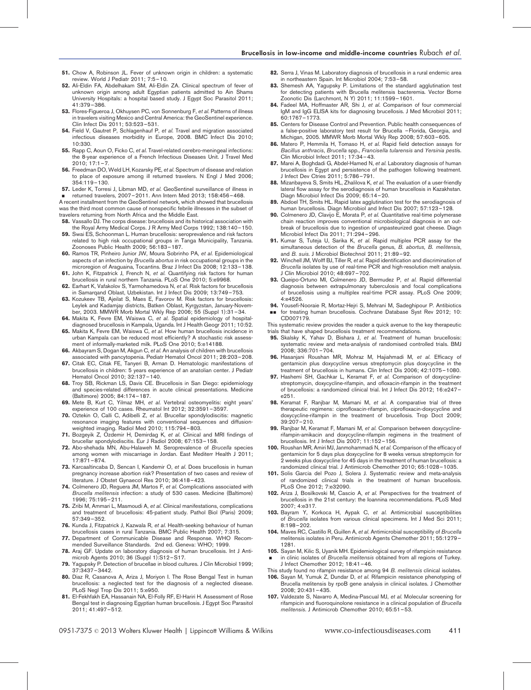- <span id="page-7-0"></span>51. Chow A, Robinson JL. Fever of unknown origin in children: a systematic review. World J Pediatr 2011; 7:5–10.
- 52. Ali-Eldin FA, Abdelhakam SM, Ali-Eldin ZA. Clinical spectrum of fever of unknown origin among adult Egyptian patients admitted to Ain Shams University Hospitals: a hospital based study. J Egypt Soc Parasitol 2011; 41:379–386.
- 53. Flores-Figueroa J, Okhuysen PC, von Sonnenburg F, et al. Patterns of illness in travelers visiting Mexico and Central America: the GeoSentinel experience. Clin Infect Dis 2011; 53:523–531.
- 54. Field V, Gautret P, Schlagenhauf P, et al. Travel and migration associated infectious diseases morbidity in Europe, 2008. BMC Infect Dis 2010; 10:330.
- 55. Rapp C, Aoun O, Ficko C, et al. Travel-related cerebro-meningeal infections: the 8-year experience of a French Infectious Diseases Unit. J Travel Med  $2010 \cdot 17.1 - 7$
- 56. Freedman DO, Weld LH, Kozarsky PE, et al. Spectrum of disease and relation to place of exposure among ill returned travelers. N Engl J Med 2006; 354:119–130.
- 57. Leder K, Torresi J, Libman MD, et al. GeoSentinel surveillance of illness in & returned travelers, 2007–2011. Ann Intern Med 2013; 158:456–468.

A recent installment from the GeoSentinel network, which showed that brucellosis was the third most common cause of nonspecific febrile illnesses in the subset of travelers returning from North Africa and the Middle East.

- 58. Vassallo DJ. The corps disease: brucellosis and its historical association with the Royal Army Medical Corps. J R Army Med Corps 1992; 138:140–150.
- Swai ES, Schoonman L. Human brucellosis: seroprevalence and risk factors related to high risk occupational groups in Tanga Municipality, Tanzania. Zoonoses Public Health 2009; 56:183–187.
- 60. Ramos TR, Pinheiro Junior JW, Moura Sobrinho PA, et al. Epidemiological aspects of an infection by Brucella abortus in risk occupational groups in the microregion of Araguaina, Tocantins. Braz J Infect Dis 2008; 12:133–138.
- 61. John K, Fitzpatrick J, French N, et al. Quantifying risk factors for human brucellosis in rural northern Tanzania. PLoS One 2010; 5:e9968.
- 62. Earhart K, Vafakolov S, Yarmohamedova N, et al. Risk factors for brucellosis in Samarqand Oblast, Uzbekistan. Int J Infect Dis 2009; 13:749–753.
- 63. Kozukeev TB, Ajeilat S, Maes E, Favorov M. Risk factors for brucellosis: Leylek and Kadamjay districts, Batken Oblast, Kyrgyzstan, January-November, 2003. MMWR Morb Mortal Wkly Rep 2006; 55 (Suppl 1):31–34.
- 64. Makita K, Fevre EM, Waiswa C, et al. Spatial epidemiology of hospitaldiagnosed brucellosis in Kampala, Uganda. Int J Health Geogr 2011; 10:52.
- 65. Makita K, Fevre EM, Waiswa C, et al. How human brucellosis incidence in urban Kampala can be reduced most efficiently? A stochastic risk assessment of informally-marketed milk. PLoS One 2010; 5:e14188.
- 66. Akbayram S, Dogan M, Akgun C, et al. An analysis of children with brucellosis associated with pancytopenia. Pediatr Hematol Oncol 2011; 28:203–208.
- 67. Citak EC, Citak FE, Tanyeri B, Arman D. Hematologic manifestations of brucellosis in children: 5 years experience of an anatolian center. J Pediatr Hematol Oncol 2010; 32:137–140.
- 68. Troy SB, Rickman LS, Davis CE. Brucellosis in San Diego: epidemiology and species-related differences in acute clinical presentations. Medicine (Baltimore) 2005; 84:174–187.
- 69. Mete B, Kurt C, Yilmaz MH, et al. Vertebral osteomyelitis: eight years' experience of 100 cases. Rheumatol Int 2012; 32:3591–3597.
- 70. Oztekin O, Calli C, Adibelli Z, et al. Brucellar spondylodiscitis: magnetic resonance imaging features with conventional sequences and diffusionweighted imaging. Radiol Med 2010; 115:794–803.
- 71. Bozgeyik Z, Ozdemir H, Demirdag K, et al. Clinical and MRI findings of brucellar spondylodiscitis. Eur J Radiol 2008; 67:153–158.
- 72. Abo-shehada MN, Abu-Halaweh M. Seroprevalence of Brucella species among women with miscarriage in Jordan. East Mediterr Health J 2011; 17:871–874.
- 73. Karcaaltincaba D, Sencan I, Kandemir O, et al. Does brucellosis in human pregnancy increase abortion risk? Presentation of two cases and review of literature. J Obstet Gynaecol Res 2010; 36:418–423.
- 74. Colmenero JD, Reguera JM, Martos F, et al. Complications associated with Brucella melitensis infection: a study of 530 cases. Medicine (Baltimore) 1996; 75:195–211.
- 75. Zribi M, Ammari L, Masmoudi A, et al. Clinical manifestations, complications and treatment of brucellosis: 45-patient study. Pathol Biol (Paris) 2009; 57:349–352.
- 76. Kunda J, Fitzpatrick J, Kazwala R, et al. Health-seeking behaviour of human brucellosis cases in rural Tanzania. BMC Public Health 2007; 7:315.
- 77. Department of Communicable Disease and Response. WHO Recommended Surveillance Standards. 2nd ed. Geneva: WHO; 1999.
- 78. Araj GF. Update on laboratory diagnosis of human brucellosis. Int J Antimicrob Agents 2010; 36 (Suppl 1):S12–S17.
- 79. Yagupsky P. Detection of brucellae in blood cultures. J Clin Microbiol 1999; 37:3437–3442.
- 80. Diaz R, Casanova A, Ariza J, Moriyon I. The Rose Bengal Test in human brucellosis: a neglected test for the diagnosis of a neglected disease. PLoS Negl Trop Dis 2011; 5:e950.
- 81. El-Fekhfakh EA, Hassanain NA, El-Folly RF, El-Hariri H. Assessment of Rose Bengal test in diagnosing Egyptian human brucellosis. J Egypt Soc Parasitol 2011; 41:497–512.
- 82. Serra J. Vinas M. Laboratory diagnosis of brucellosis in a rural endemic area in northeastern Spain. Int Microbiol 2004; 7:53–58.
- 83. Shemesh AA, Yagupsky P. Limitations of the standard agglutination test for detecting patients with Brucella melitensis bacteremia. Vector Borne Zoonotic Dis (Larchmont, N Y) 2011; 11:1599–1601.
- 84. Fadeel MA, Hoffmaster AR, Shi J, et al. Comparison of four commercial IgM and IgG ELISA kits for diagnosing brucellosis. J Med Microbiol 2011; 60:1767–1773.
- 85. Centers for Disease Control and Prevention. Public health consequences of a false-positive laboratory test result for Brucella –Florida, Georgia, and Michigan, 2005. MMWR Morb Mortal Wkly Rep 2008; 57:603–605.
- 86. Matero P, Hemmila H, Tomaso H, et al. Rapid field detection assays for Bacillus anthracis, Brucella spp., Francisella tularensis and Yersinia pestis. Clin Microbiol Infect 2011; 17:34–43.
- 87. Marei A, Boghdadi G, Abdel-Hamed N, et al. Laboratory diagnosis of human brucellosis in Egypt and persistence of the pathogen following treatment. J Infect Dev Ctries 2011; 5:786–791.
- 88. Mizanbayeva S, Smits HL, Zhalilova K, et al. The evaluation of a user-friendly lateral flow assay for the serodiagnosis of human brucellosis in Kazakhstan. Diagn Microbiol Infect Dis 2009; 65:14–20.
- 89. Abdoel TH, Smits HL. Rapid latex agglutination test for the serodiagnosis of human brucellosis. Diagn Microbiol and Infect Dis 2007; 57:123–128.
- 90. Colmenero JD, Clavijo E, Morata P, et al. Quantitative real-time polymerase chain reaction improves conventional microbiological diagnosis in an outbreak of brucellosis due to ingestion of unpasteurized goat cheese. Diagn Microbiol Infect Dis 2011; 71:294–296.
- 91. Kumar S, Tuteja U, Sarika K, et al. Rapid multiplex PCR assay for the simultaneous detection of the Brucella genus, B. abortus, B. melitensis, and B. suis. J Microbiol Biotechnol 2011; 21:89-92.
- 92. Winchell JM, Wolff BJ, Tiller R, et al. Rapid identification and discrimination of Brucella isolates by use of real-time PCR and high-resolution melt analysis. J Clin Microbiol 2010; 48:697–702.
- 93. Queipo-Ortuno MI, Colmenero JD, Bermudez P, et al. Rapid differential diagnosis between extrapulmonary tuberculosis and focal complications of brucellosis using a multiplex real-time PCR assay. PLoS One 2009; 4:e4526.
- 94. Yousefi-Nooraie R, Mortaz-Hejri S, Mehrani M, Sadeghipour P. Antibiotics for treating human brucellosis. Cochrane Database Syst Rev 2012; 10:
- && CD007179.

This systematic review provides the reader a quick avenue to the key therapeutic trials that have shaped brucellosis treatment recommendations.

- 95. Skalsky K, Yahav D, Bishara J, et al. Treatment of human brucellosis: systematic review and meta-analysis of randomised controlled trials. BMJ 2008; 336:701–704.
- 96. Hasanjani Roushan MR, Mohraz M, Hajiahmadi M, et al. Efficacy of gentamicin plus doxycycline versus streptomycin plus doxycycline in the treatment of brucellosis in humans. Clin Infect Dis 2006; 42:1075–1080.
- 97. Hashemi SH, Gachkar L, Keramat F, et al. Comparison of doxycyclinestreptomycin, doxycycline-rifampin, and ofloxacin-rifampin in the treatment of brucellosis: a randomized clinical trial. Int J Infect Dis 2012; 16:e247– e251.
- 98. Keramat F, Ranjbar M, Mamani M, et al. A comparative trial of three therapeutic regimens: ciprofloxacin-rifampin, ciprofloxacin-doxycycline and doxycycline-rifampin in the treatment of brucellosis. Trop Doct 2009; 39:207–210.
- 99. Ranjbar M, Keramat F, Mamani M, et al. Comparison between doxycyclinerifampin-amikacin and doxycycline-rifampin regimens in the treatment of brucellosis. Int J Infect Dis 2007; 11:152–156.
- 100. Roushan MR, Amiri MJ, Janmohammadi N, et al. Comparison of the efficacy of gentamicin for 5 days plus doxycycline for 8 weeks versus streptomycin for 2 weeks plus doxycycline for 45 days in the treatment of human brucellosis: a randomized clinical trial. J Antimicrob Chemother 2010; 65:1028–1035.
- 101. Solis Garcia del Pozo J, Solera J. Systematic review and meta-analysis of randomized clinical trials in the treatment of human brucellosis. PLoS One 2012; 7:e32090.
- 102. Ariza J, Bosilkovski M, Cascio A, et al. Perspectives for the treatment of brucellosis in the 21st century: the Ioannina recommendations. PLoS Med 2007; 4:e317.
- 103. Bayram Y, Korkoca H, Aypak C, et al. Antimicrobial susceptibilities of Brucella isolates from various clinical specimens. Int J Med Sci 2011; 8:198–202.
- 104. Mayes RC, Castillo R, Guillen A, et al. Antimicrobial susceptibility of Brucella melitensis isolates in Peru. Antimicrob Agents Chemother 2011; 55:1279– 1281.
- 105. Sayan M, Kilic S, Uyanik MH. Epidemiological survey of rifampicin resistance & in clinic isolates of Brucella melitensis obtained from all regions of Turkey. J Infect Chemother 2012; 18:41–46.
- This study found no rifampin resistance among 94 B. melitensis clinical isolates.
- 106. Sayan M, Yumuk Z, Dundar D, et al. Rifampicin resistance phenotyping of Brucella melitensis by rpoB gene analysis in clinical isolates. J Chemother 2008; 20:431–435.
- 107. Valdezate S, Navarro A, Medina-Pascual MJ, et al. Molecular screening for rifampicin and fluoroquinolone resistance in a clinical population of Brucella melitensis. J Antimicrob Chemother 2010; 65:51–53.